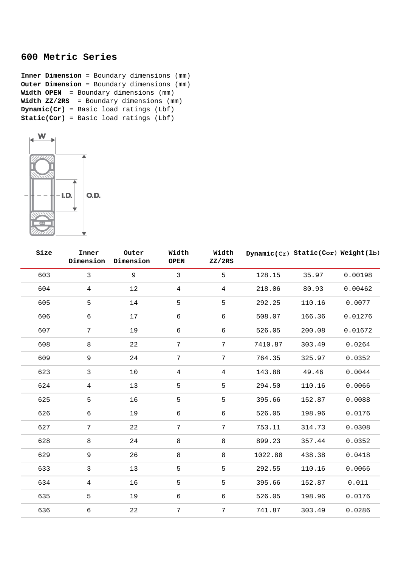## **600 Metric Series**

**Inner Dimension** = Boundary dimensions (mm) **Outer Dimension** = Boundary dimensions (mm) **Width OPEN** = Boundary dimensions (mm) **Width ZZ/2RS** = Boundary dimensions (mm) **Dynamic(Cr)** = Basic load ratings (Lbf) **Static(Cor)** = Basic load ratings (Lbf)



| Size | Inner<br>Dimension | Outer<br>Dimension | Width<br><b>OPEN</b> | Width<br>ZZ/2RS |         | Dynamic(Cr) Static(Cor) Weight(lb) |         |
|------|--------------------|--------------------|----------------------|-----------------|---------|------------------------------------|---------|
| 603  | $\mathbf{3}$       | 9                  | $\overline{3}$       | 5               | 128.15  | 35.97                              | 0.00198 |
| 604  | $\overline{4}$     | 12                 | $\overline{4}$       | $\overline{4}$  | 218.06  | 80.93                              | 0.00462 |
| 605  | 5                  | 14                 | 5                    | 5               | 292.25  | 110.16                             | 0.0077  |
| 606  | $\epsilon$         | 17                 | 6                    | 6               | 508.07  | 166.36                             | 0.01276 |
| 607  | $\overline{7}$     | 19                 | 6                    | 6               | 526.05  | 200.08                             | 0.01672 |
| 608  | 8                  | 22                 | 7                    | $\overline{7}$  | 7410.87 | 303.49                             | 0.0264  |
| 609  | 9                  | 24                 | 7                    | $\overline{7}$  | 764.35  | 325.97                             | 0.0352  |
| 623  | $\mathfrak{Z}$     | 10                 | $\overline{4}$       | 4               | 143.88  | 49.46                              | 0.0044  |
| 624  | 4                  | 13                 | 5                    | 5               | 294.50  | 110.16                             | 0.0066  |
| 625  | 5                  | 16                 | 5                    | 5               | 395.66  | 152.87                             | 0.0088  |
| 626  | 6                  | 19                 | 6                    | 6               | 526.05  | 198.96                             | 0.0176  |
| 627  | 7                  | 22                 | 7                    | 7               | 753.11  | 314.73                             | 0.0308  |
| 628  | $\,8\,$            | 24                 | $\,8\,$              | 8               | 899.23  | 357.44                             | 0.0352  |
| 629  | 9                  | 26                 | $\,8\,$              | 8               | 1022.88 | 438.38                             | 0.0418  |
| 633  | $\mathbf{3}$       | 13                 | 5                    | 5               | 292.55  | 110.16                             | 0.0066  |
| 634  | $\overline{4}$     | 16                 | 5                    | 5               | 395.66  | 152.87                             | 0.011   |
| 635  | 5                  | 19                 | 6                    | 6               | 526.05  | 198.96                             | 0.0176  |
| 636  | 6                  | 22                 | 7                    | 7               | 741.87  | 303.49                             | 0.0286  |